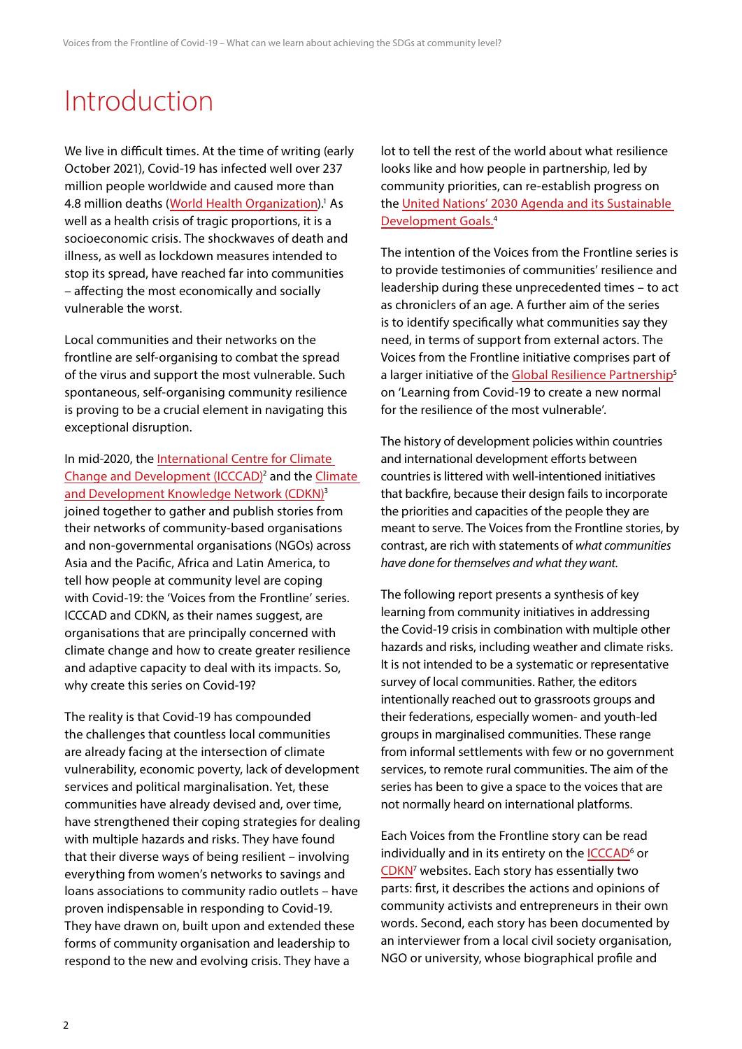## Introduction

We live in difficult times. At the time of writing (early October 2021), Covid-19 has infected well over 237 million people worldwide and caused more than 4.8 million deaths ([World Health Organization\)](https://covid19.who.int/).<sup>1</sup> As well as a health crisis of tragic proportions, it is a socioeconomic crisis. The shockwaves of death and illness, as well as lockdown measures intended to stop its spread, have reached far into communities – affecting the most economically and socially vulnerable the worst.

Local communities and their networks on the frontline are self-organising to combat the spread of the virus and support the most vulnerable. Such spontaneous, self-organising community resilience is proving to be a crucial element in navigating this exceptional disruption.

In mid-2020, the [International Centre for Climate](https://www.icccad.net)  [Change and Development \(ICCCAD\)](https://www.icccad.net)<sup>2</sup> and the Climate [and Development Knowledge Network \(CDKN\)](https://www.cdkn.org)<sup>3</sup> joined together to gather and publish stories from their networks of community-based organisations and non-governmental organisations (NGOs) across Asia and the Pacific, Africa and Latin America, to tell how people at community level are coping with Covid-19: the 'Voices from the Frontline' series. ICCCAD and CDKN, as their names suggest, are organisations that are principally concerned with climate change and how to create greater resilience and adaptive capacity to deal with its impacts. So, why create this series on Covid-19?

The reality is that Covid-19 has compounded the challenges that countless local communities are already facing at the intersection of climate vulnerability, economic poverty, lack of development services and political marginalisation. Yet, these communities have already devised and, over time, have strengthened their coping strategies for dealing with multiple hazards and risks. They have found that their diverse ways of being resilient – involving everything from women's networks to savings and loans associations to community radio outlets – have proven indispensable in responding to Covid-19. They have drawn on, built upon and extended these forms of community organisation and leadership to respond to the new and evolving crisis. They have a

lot to tell the rest of the world about what resilience looks like and how people in partnership, led by community priorities, can re-establish progress on the [United Nations' 2030 Agenda and its Sustainable](https://sdgs.un.org/2030agenda)  [Development Goals.](https://sdgs.un.org/2030agenda)4

The intention of the Voices from the Frontline series is to provide testimonies of communities' resilience and leadership during these unprecedented times – to act as chroniclers of an age. A further aim of the series is to identify specifically what communities say they need, in terms of support from external actors. The Voices from the Frontline initiative comprises part of a larger initiative of the [Global Resilience Partnership](https://www.globalresiliencepartnership.org)<sup>5</sup> on 'Learning from Covid-19 to create a new normal for the resilience of the most vulnerable'.

The history of development policies within countries and international development efforts between countries is littered with well-intentioned initiatives that backfire, because their design fails to incorporate the priorities and capacities of the people they are meant to serve. The Voices from the Frontline stories, by contrast, are rich with statements of *what communities have done for themselves and what they want.*

The following report presents a synthesis of key learning from community initiatives in addressing the Covid-19 crisis in combination with multiple other hazards and risks, including weather and climate risks. It is not intended to be a systematic or representative survey of local communities. Rather, the editors intentionally reached out to grassroots groups and their federations, especially women- and youth-led groups in marginalised communities. These range from informal settlements with few or no government services, to remote rural communities. The aim of the series has been to give a space to the voices that are not normally heard on international platforms.

Each Voices from the Frontline story can be read individually and in its entirety on the **ICCCAD<sup>6</sup>** or [CDKN](https://cdkn.org/2020/07/feature-voices-from-the-frontline-of-the-covid-19-crisis-in-local-communities)<sup>7</sup> websites. Each story has essentially two parts: first, it describes the actions and opinions of community activists and entrepreneurs in their own words. Second, each story has been documented by an interviewer from a local civil society organisation, NGO or university, whose biographical profile and